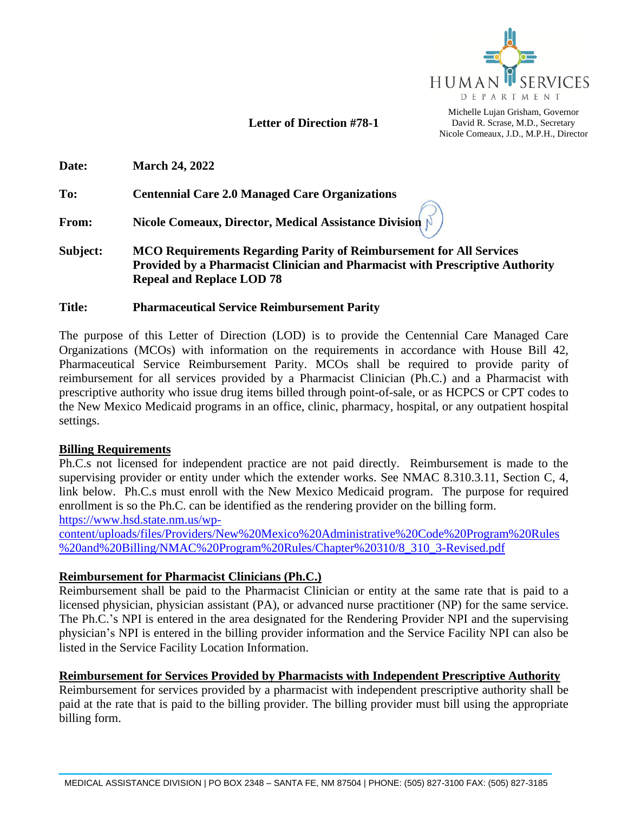

## **Letter of Direction #78-1**

Michelle Lujan Grisham, Governor David R. Scrase, M.D., Secretary Nicole Comeaux, J.D., M.P.H., Director

**Date: March 24, 2022**

**To: Centennial Care 2.0 Managed Care Organizations**

**From: Nicole Comeaux, Director, Medical Assistance Division** 

**Subject: MCO Requirements Regarding Parity of Reimbursement for All Services Provided by a Pharmacist Clinician and Pharmacist with Prescriptive Authority Repeal and Replace LOD 78**

### **Title: Pharmaceutical Service Reimbursement Parity**

The purpose of this Letter of Direction (LOD) is to provide the Centennial Care Managed Care Organizations (MCOs) with information on the requirements in accordance with House Bill 42, Pharmaceutical Service Reimbursement Parity. MCOs shall be required to provide parity of reimbursement for all services provided by a Pharmacist Clinician (Ph.C.) and a Pharmacist with prescriptive authority who issue drug items billed through point-of-sale, or as HCPCS or CPT codes to the New Mexico Medicaid programs in an office, clinic, pharmacy, hospital, or any outpatient hospital settings.

#### **Billing Requirements**

Ph.C.s not licensed for independent practice are not paid directly. Reimbursement is made to the supervising provider or entity under which the extender works. See NMAC 8.310.3.11, Section C, 4, link below. Ph.C.s must enroll with the New Mexico Medicaid program. The purpose for required enrollment is so the Ph.C. can be identified as the rendering provider on the billing form. [https://www.hsd.state.nm.us/wp-](https://www.hsd.state.nm.us/wp-content/uploads/files/Providers/New%20Mexico%20Administrative%20Code%20Program%20Rules%20and%20Billing/NMAC%20Program%20Rules/Chapter%20310/8_310_3-Revised.pdf)

[content/uploads/files/Providers/New%20Mexico%20Administrative%20Code%20Program%20Rules](https://www.hsd.state.nm.us/wp-content/uploads/files/Providers/New%20Mexico%20Administrative%20Code%20Program%20Rules%20and%20Billing/NMAC%20Program%20Rules/Chapter%20310/8_310_3-Revised.pdf) [%20and%20Billing/NMAC%20Program%20Rules/Chapter%20310/8\\_310\\_3-Revised.pdf](https://www.hsd.state.nm.us/wp-content/uploads/files/Providers/New%20Mexico%20Administrative%20Code%20Program%20Rules%20and%20Billing/NMAC%20Program%20Rules/Chapter%20310/8_310_3-Revised.pdf)

### **Reimbursement for Pharmacist Clinicians (Ph.C.)**

Reimbursement shall be paid to the Pharmacist Clinician or entity at the same rate that is paid to a licensed physician, physician assistant (PA), or advanced nurse practitioner (NP) for the same service. The Ph.C.'s NPI is entered in the area designated for the Rendering Provider NPI and the supervising physician's NPI is entered in the billing provider information and the Service Facility NPI can also be listed in the Service Facility Location Information.

### **Reimbursement for Services Provided by Pharmacists with Independent Prescriptive Authority**

Reimbursement for services provided by a pharmacist with independent prescriptive authority shall be paid at the rate that is paid to the billing provider. The billing provider must bill using the appropriate billing form.